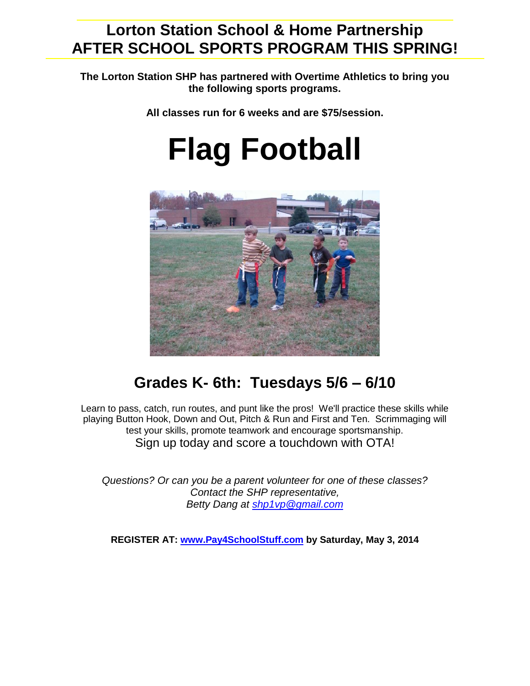## **Lorton Station School & Home Partnership AFTER SCHOOL SPORTS PROGRAM THIS SPRING!**

**The Lorton Station SHP has partnered with Overtime Athletics to bring you the following sports programs.** 

**All classes run for 6 weeks and are \$75/session.**

## **Flag Football**



## **Grades K- 6th: Tuesdays 5/6 – 6/10**

Learn to pass, catch, run routes, and punt like the pros! We'll practice these skills while playing Button Hook, Down and Out, Pitch & Run and First and Ten. Scrimmaging will test your skills, promote teamwork and encourage sportsmanship. Sign up today and score a touchdown with OTA!

*Questions? Or can you be a parent volunteer for one of these classes? Contact the SHP representative, Betty Dang at [shp1vp@gmail.com](mailto:shp1vp@gmail.com)*

**REGISTER AT: [www.Pay4SchoolStuff.com](http://www.pay4schoolstuff.com/) by Saturday, May 3, 2014**